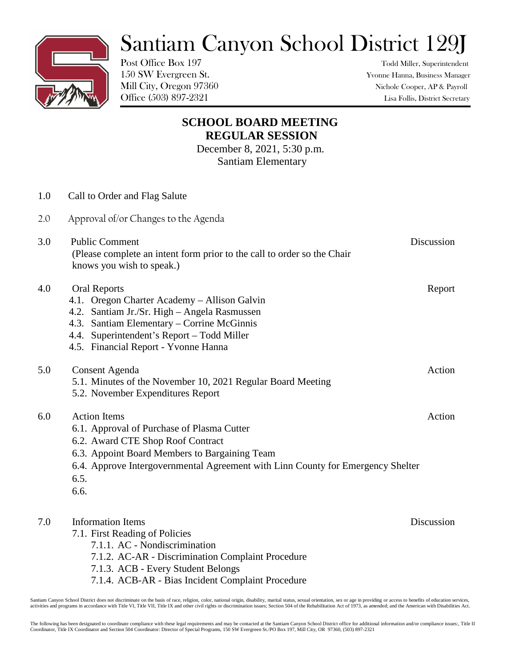## Santiam Canyon School District 129J

Post Office Box 197 Todd Miller, Superintendent

150 SW Evergreen St. Yvonne Hanna, Business Manager Mill City, Oregon 97360 Nichole Cooper, AP & Payroll Office (503) 897-2321 Lisa Follis, District Secretary

## **SCHOOL BOARD MEETING REGULAR SESSION**

December 8, 2021, 5:30 p.m. Santiam Elementary

| 1.0 | Call to Order and Flag Salute                                                                                                                                                                                                                              |            |
|-----|------------------------------------------------------------------------------------------------------------------------------------------------------------------------------------------------------------------------------------------------------------|------------|
| 2.0 | Approval of/or Changes to the Agenda                                                                                                                                                                                                                       |            |
| 3.0 | <b>Public Comment</b><br>(Please complete an intent form prior to the call to order so the Chair<br>knows you wish to speak.)                                                                                                                              | Discussion |
| 4.0 | <b>Oral Reports</b><br>4.1. Oregon Charter Academy – Allison Galvin<br>4.2. Santiam Jr./Sr. High - Angela Rasmussen<br>4.3. Santiam Elementary – Corrine McGinnis<br>4.4. Superintendent's Report – Todd Miller<br>4.5. Financial Report - Yvonne Hanna    | Report     |
| 5.0 | Consent Agenda<br>5.1. Minutes of the November 10, 2021 Regular Board Meeting<br>5.2. November Expenditures Report                                                                                                                                         | Action     |
| 6.0 | <b>Action Items</b><br>6.1. Approval of Purchase of Plasma Cutter<br>6.2. Award CTE Shop Roof Contract<br>6.3. Appoint Board Members to Bargaining Team<br>6.4. Approve Intergovernmental Agreement with Linn County for Emergency Shelter<br>6.5.<br>6.6. | Action     |
| 7.0 | <b>Information Items</b><br>7.1. First Reading of Policies<br>7.1.1. AC - Nondiscrimination<br>7.1.2. AC-AR - Discrimination Complaint Procedure<br>7.1.3. ACB - Every Student Belongs                                                                     | Discussion |

Santiam Canyon School District does not discriminate on the basis of race, religion, color, national origin, disability, marital status, sexual orientation, sex or age in providing or access to benefits of education servic

7.1.4. ACB-AR - Bias Incident Complaint Procedure